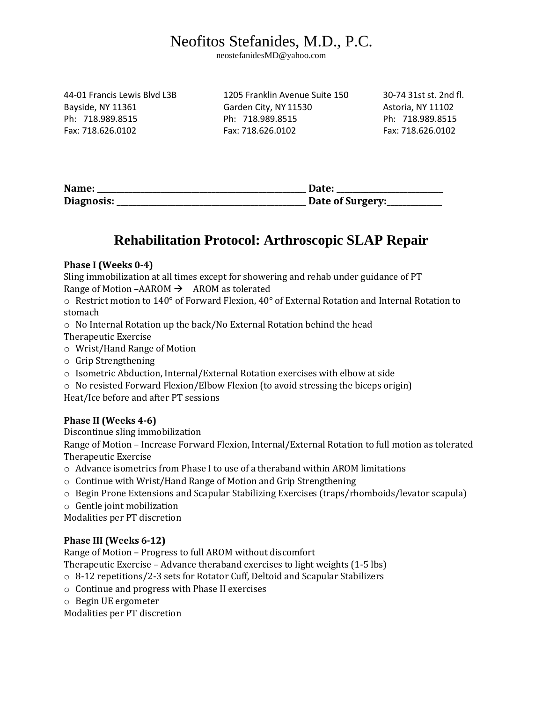# Neofitos Stefanides, M.D., P.C.

neostefanidesMD@yahoo.com

44-01 Francis Lewis Blvd L3B 1205 Franklin Avenue Suite 150 30-74 31st st. 2nd fl. Bayside, NY 11361 Garden City, NY 11530 Astoria, NY 11102 Ph: 718.989.8515 Ph: 718.989.8515 Ph: 718.989.8515 Fax: 718.626.0102 Fax: 718.626.0102 Fax: 718.626.0102

| Name:      | <b>Date:</b>     |
|------------|------------------|
| Diagnosis: | Date of Surgery: |

## **Rehabilitation Protocol: Arthroscopic SLAP Repair**

### **Phase I (Weeks 0-4)**

Sling immobilization at all times except for showering and rehab under guidance of PT Range of Motion –AAROM  $\rightarrow$  AROM as tolerated

 $\circ$  Restrict motion to 140° of Forward Flexion, 40° of External Rotation and Internal Rotation to stomach

o No Internal Rotation up the back/No External Rotation behind the head Therapeutic Exercise

- o Wrist/Hand Range of Motion
- o Grip Strengthening
- o Isometric Abduction, Internal/External Rotation exercises with elbow at side
- o No resisted Forward Flexion/Elbow Flexion (to avoid stressing the biceps origin)

Heat/Ice before and after PT sessions

### **Phase II (Weeks 4-6)**

Discontinue sling immobilization

Range of Motion – Increase Forward Flexion, Internal/External Rotation to full motion as tolerated Therapeutic Exercise

- $\circ$  Advance isometrics from Phase I to use of a theraband within AROM limitations
- o Continue with Wrist/Hand Range of Motion and Grip Strengthening
- o Begin Prone Extensions and Scapular Stabilizing Exercises (traps/rhomboids/levator scapula)
- o Gentle joint mobilization

Modalities per PT discretion

#### **Phase III (Weeks 6-12)**

Range of Motion – Progress to full AROM without discomfort

Therapeutic Exercise – Advance theraband exercises to light weights (1-5 lbs)

- o 8-12 repetitions/2-3 sets for Rotator Cuff, Deltoid and Scapular Stabilizers
- o Continue and progress with Phase II exercises
- o Begin UE ergometer

Modalities per PT discretion